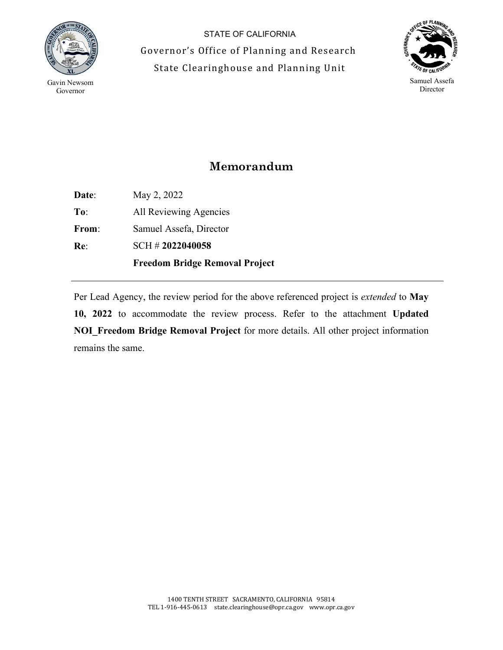

STATE OF CALIFORNIA Governor's Office of Planning and Research State Clearinghouse and Planning Unit



## **Memorandum**

**Date**: **To**: **From**: **Re**: May 2, 2022 All Reviewing Agencies Samuel Assefa, Director SCH # **2022040058 Freedom Bridge Removal Project**

Per Lead Agency, the review period for the above referenced project is *extended* to **May 10, 2022** to accommodate the review process. Refer to the attachment **Updated NOI\_Freedom Bridge Removal Project** for more details. All other project information remains the same.